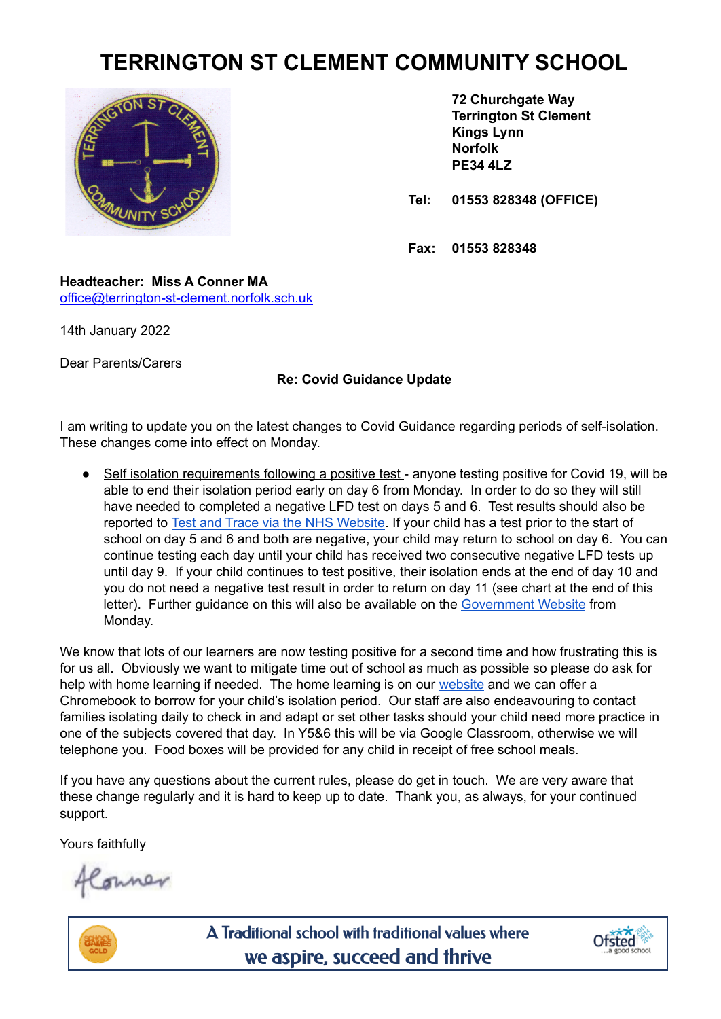## **TERRINGTON ST CLEMENT COMMUNITY SCHOOL**



**72 Churchgate Way Terrington St Clement Kings Lynn Norfolk PE34 4LZ**

**Tel: 01553 828348 (OFFICE)**

**Fax: 01553 828348**

**Headteacher: Miss A Conner MA** [office@terrington-st-clement.norfolk.sch.uk](mailto:office@terrington-st-clement.norfolk.sch.uk)

14th January 2022

Dear Parents/Carers

## **Re: Covid Guidance Update**

I am writing to update you on the latest changes to Covid Guidance regarding periods of self-isolation. These changes come into effect on Monday.

• Self isolation requirements following a positive test - anyone testing positive for Covid 19, will be able to end their isolation period early on day 6 from Monday. In order to do so they will still have needed to completed a negative LFD test on days 5 and 6. Test results should also be reported to Test and Trace via the NHS [Website](https://www.gov.uk/report-covid19-result). If your child has a test prior to the start of school on day 5 and 6 and both are negative, your child may return to school on day 6. You can continue testing each day until your child has received two consecutive negative LFD tests up until day 9. If your child continues to test positive, their isolation ends at the end of day 10 and you do not need a negative test result in order to return on day 11 (see chart at the end of this letter). Further guidance on this will also be available on the [Government](https://www.gov.uk/government/publications/covid-19-stay-at-home-guidance/stay-at-home-guidance-for-households-with-possible-coronavirus-covid-19-infection?utm_source=2%20January%202022%20C19&utm_medium=Daily%20Email%20C19&utm_campaign=DfE%20C19) Website from Monday.

We know that lots of our learners are now testing positive for a second time and how frustrating this is for us all. Obviously we want to mitigate time out of school as much as possible so please do ask for help with home learning if needed. The home learning is on our [website](https://www.terringtonstclementschool.co.uk/page/?title=Learners&pid=219) and we can offer a Chromebook to borrow for your child's isolation period. Our staff are also endeavouring to contact families isolating daily to check in and adapt or set other tasks should your child need more practice in one of the subjects covered that day. In Y5&6 this will be via Google Classroom, otherwise we will telephone you. Food boxes will be provided for any child in receipt of free school meals.

If you have any questions about the current rules, please do get in touch. We are very aware that these change regularly and it is hard to keep up to date. Thank you, as always, for your continued support.

Yours faithfully

Conner



A Traditional school with traditional values where we aspire, succeed and thrive